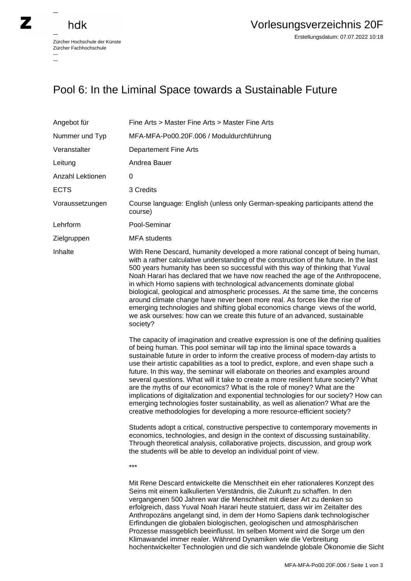## hdk

 $\overline{\phantom{0}}$ 

Zürcher Hochschule der Künste Zürcher Fachhochschule —

## Pool 6: In the Liminal Space towards a Sustainable Future

| Angebot für      | Fine Arts > Master Fine Arts > Master Fine Arts                                                                                                                                                                                                                                                                                                                                                                                                                                                                                                                                                                                                                                                                                                                                                                                                                                                                                                                                                                                                                                                                                                                                                            |
|------------------|------------------------------------------------------------------------------------------------------------------------------------------------------------------------------------------------------------------------------------------------------------------------------------------------------------------------------------------------------------------------------------------------------------------------------------------------------------------------------------------------------------------------------------------------------------------------------------------------------------------------------------------------------------------------------------------------------------------------------------------------------------------------------------------------------------------------------------------------------------------------------------------------------------------------------------------------------------------------------------------------------------------------------------------------------------------------------------------------------------------------------------------------------------------------------------------------------------|
| Nummer und Typ   | MFA-MFA-Po00.20F.006 / Moduldurchführung                                                                                                                                                                                                                                                                                                                                                                                                                                                                                                                                                                                                                                                                                                                                                                                                                                                                                                                                                                                                                                                                                                                                                                   |
| Veranstalter     | <b>Departement Fine Arts</b>                                                                                                                                                                                                                                                                                                                                                                                                                                                                                                                                                                                                                                                                                                                                                                                                                                                                                                                                                                                                                                                                                                                                                                               |
| Leitung          | Andrea Bauer                                                                                                                                                                                                                                                                                                                                                                                                                                                                                                                                                                                                                                                                                                                                                                                                                                                                                                                                                                                                                                                                                                                                                                                               |
| Anzahl Lektionen | 0                                                                                                                                                                                                                                                                                                                                                                                                                                                                                                                                                                                                                                                                                                                                                                                                                                                                                                                                                                                                                                                                                                                                                                                                          |
| <b>ECTS</b>      | 3 Credits                                                                                                                                                                                                                                                                                                                                                                                                                                                                                                                                                                                                                                                                                                                                                                                                                                                                                                                                                                                                                                                                                                                                                                                                  |
| Voraussetzungen  | Course language: English (unless only German-speaking participants attend the<br>course)                                                                                                                                                                                                                                                                                                                                                                                                                                                                                                                                                                                                                                                                                                                                                                                                                                                                                                                                                                                                                                                                                                                   |
| Lehrform         | Pool-Seminar                                                                                                                                                                                                                                                                                                                                                                                                                                                                                                                                                                                                                                                                                                                                                                                                                                                                                                                                                                                                                                                                                                                                                                                               |
| Zielgruppen      | <b>MFA</b> students                                                                                                                                                                                                                                                                                                                                                                                                                                                                                                                                                                                                                                                                                                                                                                                                                                                                                                                                                                                                                                                                                                                                                                                        |
| Inhalte          | With Rene Descard, humanity developed a more rational concept of being human,<br>with a rather calculative understanding of the construction of the future. In the last<br>500 years humanity has been so successful with this way of thinking that Yuval<br>Noah Harari has declared that we have now reached the age of the Anthropocene,<br>in which Homo sapiens with technological advancements dominate global<br>biological, geological and atmospheric processes. At the same time, the concerns<br>around climate change have never been more real. As forces like the rise of<br>emerging technologies and shifting global economics change views of the world,<br>we ask ourselves: how can we create this future of an advanced, sustainable<br>society?                                                                                                                                                                                                                                                                                                                                                                                                                                       |
|                  | The capacity of imagination and creative expression is one of the defining qualities<br>of being human. This pool seminar will tap into the liminal space towards a<br>sustainable future in order to inform the creative process of modern-day artists to<br>use their artistic capabilities as a tool to predict, explore, and even shape such a<br>future. In this way, the seminar will elaborate on theories and examples around<br>several questions. What will it take to create a more resilient future society? What<br>are the myths of our economics? What is the role of money? What are the<br>implications of digitalization and exponential technologies for our society? How can<br>emerging technologies foster sustainability, as well as alienation? What are the<br>creative methodologies for developing a more resource-efficient society?<br>Students adopt a critical, constructive perspective to contemporary movements in<br>economics, technologies, and design in the context of discussing sustainability.<br>Through theoretical analysis, collaborative projects, discussion, and group work<br>the students will be able to develop an individual point of view.<br>$***$ |
|                  | Mit Rene Descard entwickelte die Menschheit ein eher rationaleres Konzept des<br>Seins mit einem kalkulierten Verständnis, die Zukunft zu schaffen. In den<br>vergangenen 500 Jahren war die Menschheit mit dieser Art zu denken so<br>erfolgreich, dass Yuval Noah Harari heute statuiert, dass wir im Zeitalter des<br>Anthropozäns angelangt sind, in dem der Homo Sapiens dank technologischer<br>Erfindungen die globalen biologischen, geologischen und atmosphärischen<br>Prozesse massgeblich beeinflusst. Im selben Moment wird die Sorge um den                                                                                                                                                                                                                                                                                                                                                                                                                                                                                                                                                                                                                                                  |

Klimawandel immer realer. Während Dynamiken wie die Verbreitung

hochentwickelter Technologien und die sich wandelnde globale Ökonomie die Sicht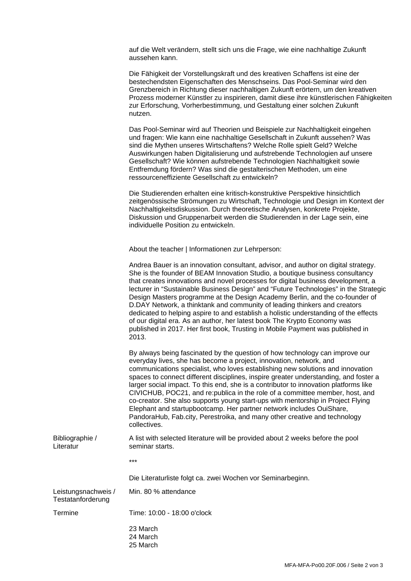auf die Welt verändern, stellt sich uns die Frage, wie eine nachhaltige Zukunft aussehen kann.

Die Fähigkeit der Vorstellungskraft und des kreativen Schaffens ist eine der bestechendsten Eigenschaften des Menschseins. Das Pool-Seminar wird den Grenzbereich in Richtung dieser nachhaltigen Zukunft erörtern, um den kreativen Prozess moderner Künstler zu inspirieren, damit diese ihre künstlerischen Fähigkeiten zur Erforschung, Vorherbestimmung, und Gestaltung einer solchen Zukunft nutzen.

Das Pool-Seminar wird auf Theorien und Beispiele zur Nachhaltigkeit eingehen und fragen: Wie kann eine nachhaltige Gesellschaft in Zukunft aussehen? Was sind die Mythen unseres Wirtschaftens? Welche Rolle spielt Geld? Welche Auswirkungen haben Digitalisierung und aufstrebende Technologien auf unsere Gesellschaft? Wie können aufstrebende Technologien Nachhaltigkeit sowie Entfremdung fördern? Was sind die gestalterischen Methoden, um eine ressourceneffiziente Gesellschaft zu entwickeln?

Die Studierenden erhalten eine kritisch-konstruktive Perspektive hinsichtlich zeitgenössische Strömungen zu Wirtschaft, Technologie und Design im Kontext der Nachhaltigkeitsdiskussion. Durch theoretische Analysen, konkrete Projekte, Diskussion und Gruppenarbeit werden die Studierenden in der Lage sein, eine individuelle Position zu entwickeln.

About the teacher | Informationen zur Lehrperson:

|                                          | Andrea Bauer is an innovation consultant, advisor, and author on digital strategy.<br>She is the founder of BEAM Innovation Studio, a boutique business consultancy<br>that creates innovations and novel processes for digital business development, a<br>lecturer in "Sustainable Business Design" and "Future Technologies" in the Strategic<br>Design Masters programme at the Design Academy Berlin, and the co-founder of<br>D.DAY Network, a thinktank and community of leading thinkers and creators<br>dedicated to helping aspire to and establish a holistic understanding of the effects<br>of our digital era. As an author, her latest book The Krypto Economy was<br>published in 2017. Her first book, Trusting in Mobile Payment was published in<br>2013. |
|------------------------------------------|-----------------------------------------------------------------------------------------------------------------------------------------------------------------------------------------------------------------------------------------------------------------------------------------------------------------------------------------------------------------------------------------------------------------------------------------------------------------------------------------------------------------------------------------------------------------------------------------------------------------------------------------------------------------------------------------------------------------------------------------------------------------------------|
|                                          | By always being fascinated by the question of how technology can improve our<br>everyday lives, she has become a project, innovation, network, and<br>communications specialist, who loves establishing new solutions and innovation<br>spaces to connect different disciplines, inspire greater understanding, and foster a<br>larger social impact. To this end, she is a contributor to innovation platforms like<br>CIVICHUB, POC21, and re: publica in the role of a committee member, host, and<br>co-creator. She also supports young start-ups with mentorship in Project Flying<br>Elephant and startupbootcamp. Her partner network includes OuiShare,<br>PandoraHub, Fab.city, Perestroika, and many other creative and technology<br>collectives.               |
| Bibliographie /<br>Literatur             | A list with selected literature will be provided about 2 weeks before the pool<br>seminar starts.                                                                                                                                                                                                                                                                                                                                                                                                                                                                                                                                                                                                                                                                           |
|                                          | ***                                                                                                                                                                                                                                                                                                                                                                                                                                                                                                                                                                                                                                                                                                                                                                         |
|                                          | Die Literaturliste folgt ca. zwei Wochen vor Seminarbeginn.                                                                                                                                                                                                                                                                                                                                                                                                                                                                                                                                                                                                                                                                                                                 |
| Leistungsnachweis /<br>Testatanforderung | Min. 80 % attendance                                                                                                                                                                                                                                                                                                                                                                                                                                                                                                                                                                                                                                                                                                                                                        |
| Termine                                  | Time: 10:00 - 18:00 o'clock                                                                                                                                                                                                                                                                                                                                                                                                                                                                                                                                                                                                                                                                                                                                                 |
|                                          | 23 March<br>24 March<br>25 March                                                                                                                                                                                                                                                                                                                                                                                                                                                                                                                                                                                                                                                                                                                                            |